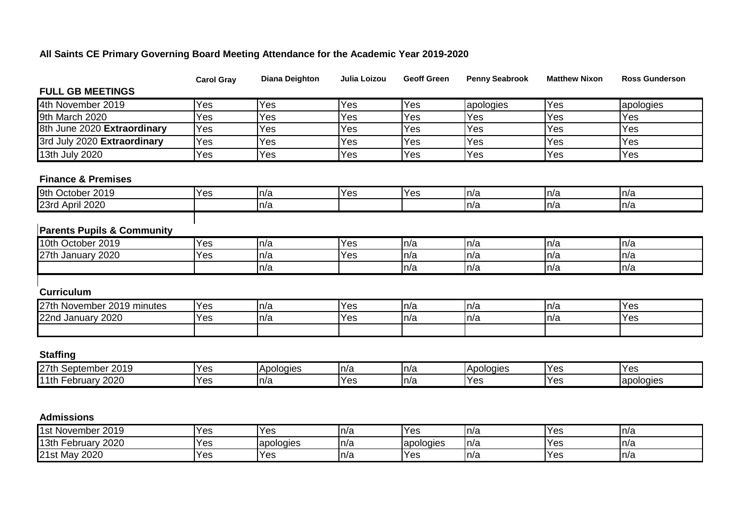## **All Saints CE Primary Governing Board Meeting Attendance for the Academic Year 2019-2020**

|                                                            | <b>Carol Gray</b> | <b>Diana Deighton</b> | Julia Loizou | <b>Geoff Green</b> | <b>Penny Seabrook</b> | <b>Matthew Nixon</b> | <b>Ross Gunderson</b> |
|------------------------------------------------------------|-------------------|-----------------------|--------------|--------------------|-----------------------|----------------------|-----------------------|
| <b>FULL GB MEETINGS</b>                                    |                   |                       |              |                    |                       |                      |                       |
| 4th November 2019                                          | Yes               | Yes                   | Yes          | Yes                | apologies             | Yes                  | apologies             |
| 9th March 2020                                             | Yes               | Yes                   | Yes          | Yes                | Yes                   | Yes                  | Yes                   |
| 8th June 2020 Extraordinary                                | Yes               | Yes                   | Yes          | Yes                | Yes                   | Yes                  | Yes                   |
| 3rd July 2020 Extraordinary                                | Yes               | Yes                   | Yes          | Yes                | Yes                   | Yes                  | Yes                   |
| 13th July 2020                                             | Yes               | Yes                   | Yes          | Yes                | Yes                   | Yes                  | Yes                   |
| <b>Finance &amp; Premises</b>                              |                   |                       |              |                    |                       |                      |                       |
| 9th October 2019                                           | Yes               | n/a                   | Yes          | Yes                | n/a                   | n/a                  | ln/a                  |
| 23rd April 2020                                            |                   | n/a                   |              |                    | n/a                   | n/a                  | ln/a                  |
|                                                            |                   |                       |              |                    |                       |                      |                       |
| <b>Parents Pupils &amp; Community</b><br>10th October 2019 | Yes               | n/a                   | Yes          | n/a                | n/a                   | n/a                  | ln/a                  |
|                                                            |                   | n/a                   |              | n/a                | n/a                   | n/a                  |                       |
| 27th January 2020                                          | Yes               | n/a                   | Yes          | n/a                | n/a                   | n/a                  | n/a<br>ln/a           |
|                                                            |                   |                       |              |                    |                       |                      |                       |
| <b>Curriculum</b>                                          |                   |                       |              |                    |                       |                      |                       |
| 27th November 2019 minutes                                 | Yes               | n/a                   | Yes          | n/a                | n/a                   | n/a                  | Yes                   |
| 22nd January 2020                                          | Yes               | n/a                   | Yes          | n/a                | n/a                   | n/a                  | Yes                   |
|                                                            |                   |                       |              |                    |                       |                      |                       |
| <b>Staffing</b>                                            |                   |                       |              |                    |                       |                      |                       |
| 27th September 2019                                        | Yes               | Apologies             | n/a          | n/a                | Apologies             | Yes                  | Yes                   |
| 11th February 2020                                         | Yes               | n/a                   | Yes          | n/a                | Yes                   | Yes                  | apologies             |
|                                                            |                   |                       |              |                    |                       |                      |                       |
|                                                            |                   |                       |              |                    |                       |                      |                       |
| <b>Admissions</b>                                          |                   |                       |              |                    |                       |                      |                       |
| 1st November 2019                                          | Yes               | Yes                   | n/a          | Yes                | n/a                   | Yes                  | ln/a                  |
| 13th February 2020                                         | Yes               | apologies             | n/a          | apologies          | n/a                   | Yes                  | n/a                   |
| 21st May 2020                                              | Yes               | Yes                   | n/a          | Yes                | n/a                   | Yes                  | ln/a                  |